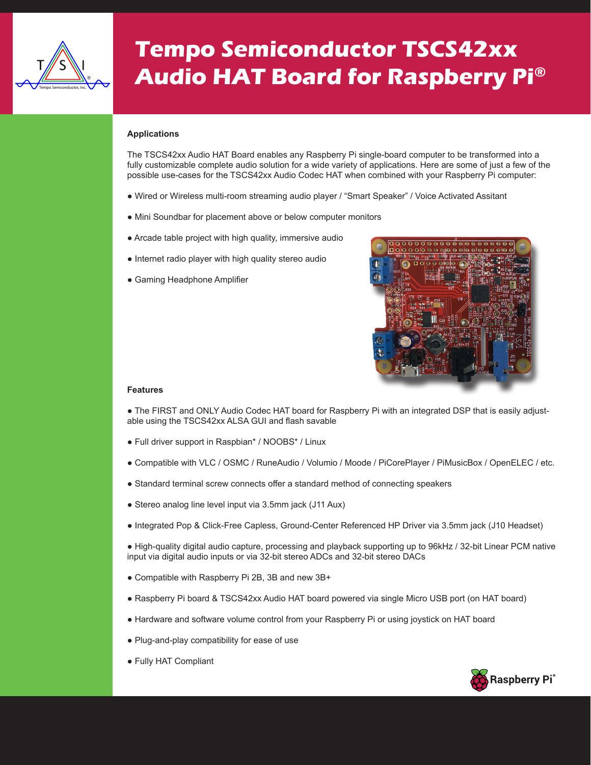

## **Tempo Semiconductor TSCS42xx Audio HAT Board for Raspberry Pi®**

## **Applications**

The TSCS42xx Audio HAT Board enables any Raspberry Pi single-board computer to be transformed into a fully customizable complete audio solution for a wide variety of applications. Here are some of just a few of the possible use-cases for the TSCS42xx Audio Codec HAT when combined with your Raspberry Pi computer:

- Wired or Wireless multi-room streaming audio player / "Smart Speaker" / Voice Activated Assitant
- Mini Soundbar for placement above or below computer monitors
- Arcade table project with high quality, immersive audio
- Internet radio player with high quality stereo audio
- Gaming Headphone Amplifier



## **Features**

• The FIRST and ONLY Audio Codec HAT board for Raspberry Pi with an integrated DSP that is easily adjustable using the TSCS42xx ALSA GUI and flash savable

- Full driver support in Raspbian\* / NOOBS\* / Linux
- Compatible with VLC / OSMC / RuneAudio / Volumio / Moode / PiCorePlayer / PiMusicBox / OpenELEC / etc.
- Standard terminal screw connects offer a standard method of connecting speakers
- Stereo analog line level input via 3.5mm jack (J11 Aux)
- Integrated Pop & Click-Free Capless, Ground-Center Referenced HP Driver via 3.5mm jack (J10 Headset)

● High-quality digital audio capture, processing and playback supporting up to 96kHz / 32-bit Linear PCM native input via digital audio inputs or via 32-bit stereo ADCs and 32-bit stereo DACs

- Compatible with Raspberry Pi 2B, 3B and new 3B+
- Raspberry Pi board & TSCS42xx Audio HAT board powered via single Micro USB port (on HAT board)
- Hardware and software volume control from your Raspberry Pi or using joystick on HAT board
- Plug-and-play compatibility for ease of use
- Fully HAT Compliant